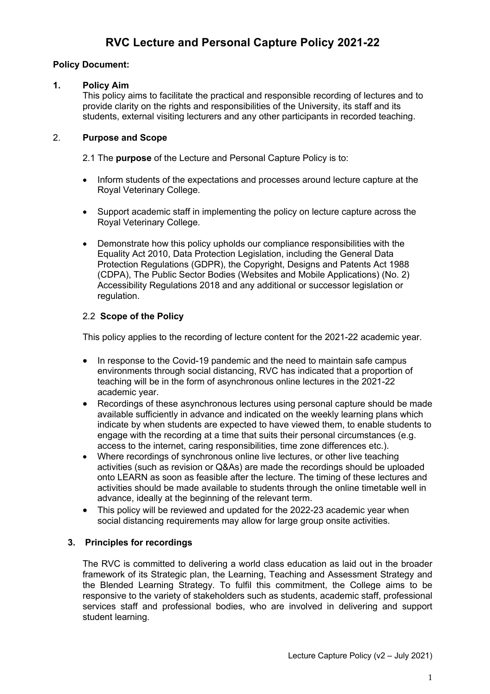# **RVC Lecture and Personal Capture Policy 2021-22**

## **Policy Document:**

### **1. Policy Aim**

This policy aims to facilitate the practical and responsible recording of lectures and to provide clarity on the rights and responsibilities of the University, its staff and its students, external visiting lecturers and any other participants in recorded teaching.

## 2. **Purpose and Scope**

2.1 The **purpose** of the Lecture and Personal Capture Policy is to:

- Inform students of the expectations and processes around lecture capture at the Royal Veterinary College.
- Support academic staff in implementing the policy on lecture capture across the Royal Veterinary College.
- Demonstrate how this policy upholds our compliance responsibilities with the Equality Act 2010, Data Protection Legislation, including the General Data Protection Regulations (GDPR), the Copyright, Designs and Patents Act 1988 (CDPA), The Public Sector Bodies (Websites and Mobile Applications) (No. 2) Accessibility Regulations 2018 and any additional or successor legislation or regulation.

## 2.2 **Scope of the Policy**

This policy applies to the recording of lecture content for the 2021-22 academic year.

- In response to the Covid-19 pandemic and the need to maintain safe campus environments through social distancing, RVC has indicated that a proportion of teaching will be in the form of asynchronous online lectures in the 2021-22 academic year.
- Recordings of these asynchronous lectures using personal capture should be made available sufficiently in advance and indicated on the weekly learning plans which indicate by when students are expected to have viewed them, to enable students to engage with the recording at a time that suits their personal circumstances (e.g. access to the internet, caring responsibilities, time zone differences etc.).
- Where recordings of synchronous online live lectures, or other live teaching activities (such as revision or Q&As) are made the recordings should be uploaded onto LEARN as soon as feasible after the lecture. The timing of these lectures and activities should be made available to students through the online timetable well in advance, ideally at the beginning of the relevant term.
- This policy will be reviewed and updated for the 2022-23 academic year when social distancing requirements may allow for large group onsite activities.

## **3. Principles for recordings**

The RVC is committed to delivering a world class education as laid out in the broader framework of its Strategic plan, the Learning, Teaching and Assessment Strategy and the Blended Learning Strategy. To fulfil this commitment, the College aims to be responsive to the variety of stakeholders such as students, academic staff, professional services staff and professional bodies, who are involved in delivering and support student learning.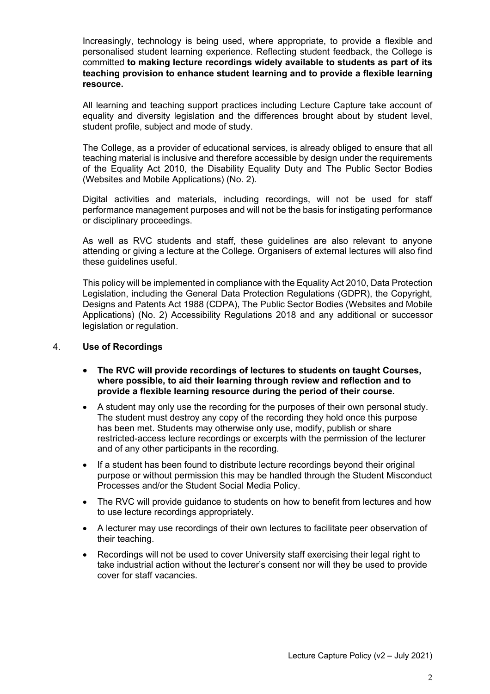Increasingly, technology is being used, where appropriate, to provide a flexible and personalised student learning experience. Reflecting student feedback, the College is committed **to making lecture recordings widely available to students as part of its teaching provision to enhance student learning and to provide a flexible learning resource.** 

All learning and teaching support practices including Lecture Capture take account of equality and diversity legislation and the differences brought about by student level, student profile, subject and mode of study.

The College, as a provider of educational services, is already obliged to ensure that all teaching material is inclusive and therefore accessible by design under the requirements of the Equality Act 2010, the Disability Equality Duty and The Public Sector Bodies (Websites and Mobile Applications) (No. 2).

Digital activities and materials, including recordings, will not be used for staff performance management purposes and will not be the basis for instigating performance or disciplinary proceedings.

As well as RVC students and staff, these guidelines are also relevant to anyone attending or giving a lecture at the College. Organisers of external lectures will also find these guidelines useful.

This policy will be implemented in compliance with the Equality Act 2010, Data Protection Legislation, including the General Data Protection Regulations (GDPR), the Copyright, Designs and Patents Act 1988 (CDPA), The Public Sector Bodies (Websites and Mobile Applications) (No. 2) Accessibility Regulations 2018 and any additional or successor legislation or regulation.

#### 4. **Use of Recordings**

- **The RVC will provide recordings of lectures to students on taught Courses, where possible, to aid their learning through review and reflection and to provide a flexible learning resource during the period of their course.**
- A student may only use the recording for the purposes of their own personal study. The student must destroy any copy of the recording they hold once this purpose has been met. Students may otherwise only use, modify, publish or share restricted-access lecture recordings or excerpts with the permission of the lecturer and of any other participants in the recording.
- If a student has been found to distribute lecture recordings beyond their original purpose or without permission this may be handled through the Student Misconduct Processes and/or the Student Social Media Policy.
- The RVC will provide guidance to students on how to benefit from lectures and how to use lecture recordings appropriately.
- A lecturer may use recordings of their own lectures to facilitate peer observation of their teaching.
- Recordings will not be used to cover University staff exercising their legal right to take industrial action without the lecturer's consent nor will they be used to provide cover for staff vacancies.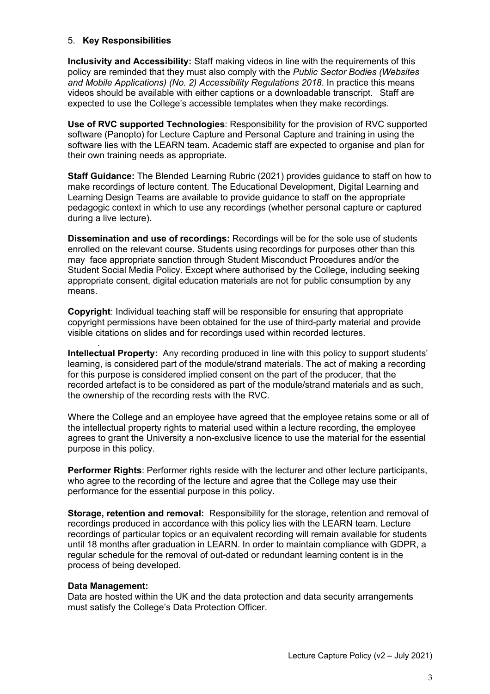#### 5. **Key Responsibilities**

**Inclusivity and Accessibility:** Staff making videos in line with the requirements of this policy are reminded that they must also comply with the *Public Sector Bodies (Websites and Mobile Applications) (No. 2) Accessibility Regulations 2018*. In practice this means videos should be available with either captions or a downloadable transcript.   Staff are expected to use the College's accessible templates when they make recordings.

**Use of RVC supported Technologies**: Responsibility for the provision of RVC supported software (Panopto) for Lecture Capture and Personal Capture and training in using the software lies with the LEARN team. Academic staff are expected to organise and plan for their own training needs as appropriate.

**Staff Guidance:** The Blended Learning Rubric (2021) provides guidance to staff on how to make recordings of lecture content. The Educational Development, Digital Learning and Learning Design Teams are available to provide guidance to staff on the appropriate pedagogic context in which to use any recordings (whether personal capture or captured during a live lecture).

**Dissemination and use of recordings:** Recordings will be for the sole use of students enrolled on the relevant course. Students using recordings for purposes other than this may face appropriate sanction through Student Misconduct Procedures and/or the Student Social Media Policy. Except where authorised by the College, including seeking appropriate consent, digital education materials are not for public consumption by any means.

**Copyright**: Individual teaching staff will be responsible for ensuring that appropriate copyright permissions have been obtained for the use of third-party material and provide visible citations on slides and for recordings used within recorded lectures.

**Intellectual Property:** Any recording produced in line with this policy to support students' learning, is considered part of the module/strand materials. The act of making a recording for this purpose is considered implied consent on the part of the producer, that the recorded artefact is to be considered as part of the module/strand materials and as such, the ownership of the recording rests with the RVC.

Where the College and an employee have agreed that the employee retains some or all of the intellectual property rights to material used within a lecture recording, the employee agrees to grant the University a non-exclusive licence to use the material for the essential purpose in this policy.

**Performer Rights**: Performer rights reside with the lecturer and other lecture participants, who agree to the recording of the lecture and agree that the College may use their performance for the essential purpose in this policy.

**Storage, retention and removal:** Responsibility for the storage, retention and removal of recordings produced in accordance with this policy lies with the LEARN team. Lecture recordings of particular topics or an equivalent recording will remain available for students until 18 months after graduation in LEARN. In order to maintain compliance with GDPR, a regular schedule for the removal of out-dated or redundant learning content is in the process of being developed.

#### **Data Management:**

.

Data are hosted within the UK and the data protection and data security arrangements must satisfy the College's Data Protection Officer.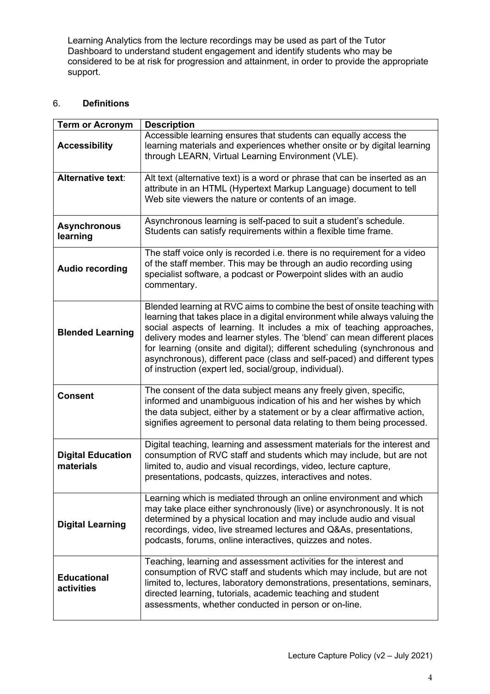Learning Analytics from the lecture recordings may be used as part of the Tutor Dashboard to understand student engagement and identify students who may be considered to be at risk for progression and attainment, in order to provide the appropriate support.

## 6. **Definitions**

| <b>Term or Acronym</b>                | <b>Description</b>                                                                                                                                                                                                                                                                                                                                                                                                                                                                                                             |
|---------------------------------------|--------------------------------------------------------------------------------------------------------------------------------------------------------------------------------------------------------------------------------------------------------------------------------------------------------------------------------------------------------------------------------------------------------------------------------------------------------------------------------------------------------------------------------|
| <b>Accessibility</b>                  | Accessible learning ensures that students can equally access the<br>learning materials and experiences whether onsite or by digital learning<br>through LEARN, Virtual Learning Environment (VLE).                                                                                                                                                                                                                                                                                                                             |
| <b>Alternative text:</b>              | Alt text (alternative text) is a word or phrase that can be inserted as an<br>attribute in an HTML (Hypertext Markup Language) document to tell<br>Web site viewers the nature or contents of an image.                                                                                                                                                                                                                                                                                                                        |
| <b>Asynchronous</b><br>learning       | Asynchronous learning is self-paced to suit a student's schedule.<br>Students can satisfy requirements within a flexible time frame.                                                                                                                                                                                                                                                                                                                                                                                           |
| <b>Audio recording</b>                | The staff voice only is recorded i.e. there is no requirement for a video<br>of the staff member. This may be through an audio recording using<br>specialist software, a podcast or Powerpoint slides with an audio<br>commentary.                                                                                                                                                                                                                                                                                             |
| <b>Blended Learning</b>               | Blended learning at RVC aims to combine the best of onsite teaching with<br>learning that takes place in a digital environment while always valuing the<br>social aspects of learning. It includes a mix of teaching approaches,<br>delivery modes and learner styles. The 'blend' can mean different places<br>for learning (onsite and digital); different scheduling (synchronous and<br>asynchronous), different pace (class and self-paced) and different types<br>of instruction (expert led, social/group, individual). |
| <b>Consent</b>                        | The consent of the data subject means any freely given, specific,<br>informed and unambiguous indication of his and her wishes by which<br>the data subject, either by a statement or by a clear affirmative action,<br>signifies agreement to personal data relating to them being processed.                                                                                                                                                                                                                                 |
| <b>Digital Education</b><br>materials | Digital teaching, learning and assessment materials for the interest and<br>consumption of RVC staff and students which may include, but are not<br>limited to, audio and visual recordings, video, lecture capture,<br>presentations, podcasts, quizzes, interactives and notes.                                                                                                                                                                                                                                              |
| <b>Digital Learning</b>               | Learning which is mediated through an online environment and which<br>may take place either synchronously (live) or asynchronously. It is not<br>determined by a physical location and may include audio and visual<br>recordings, video, live streamed lectures and Q&As, presentations,<br>podcasts, forums, online interactives, quizzes and notes.                                                                                                                                                                         |
| <b>Educational</b><br>activities      | Teaching, learning and assessment activities for the interest and<br>consumption of RVC staff and students which may include, but are not<br>limited to, lectures, laboratory demonstrations, presentations, seminars,<br>directed learning, tutorials, academic teaching and student<br>assessments, whether conducted in person or on-line.                                                                                                                                                                                  |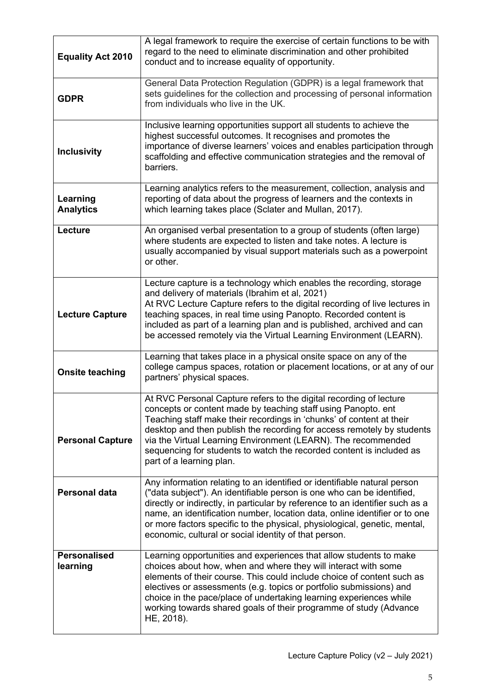| <b>Equality Act 2010</b>        | A legal framework to require the exercise of certain functions to be with<br>regard to the need to eliminate discrimination and other prohibited<br>conduct and to increase equality of opportunity.                                                                                                                                                                                                                                                       |  |
|---------------------------------|------------------------------------------------------------------------------------------------------------------------------------------------------------------------------------------------------------------------------------------------------------------------------------------------------------------------------------------------------------------------------------------------------------------------------------------------------------|--|
| <b>GDPR</b>                     | General Data Protection Regulation (GDPR) is a legal framework that<br>sets guidelines for the collection and processing of personal information<br>from individuals who live in the UK.                                                                                                                                                                                                                                                                   |  |
| <b>Inclusivity</b>              | Inclusive learning opportunities support all students to achieve the<br>highest successful outcomes. It recognises and promotes the<br>importance of diverse learners' voices and enables participation through<br>scaffolding and effective communication strategies and the removal of<br>barriers.                                                                                                                                                      |  |
| Learning<br><b>Analytics</b>    | Learning analytics refers to the measurement, collection, analysis and<br>reporting of data about the progress of learners and the contexts in<br>which learning takes place (Sclater and Mullan, 2017).                                                                                                                                                                                                                                                   |  |
| Lecture                         | An organised verbal presentation to a group of students (often large)<br>where students are expected to listen and take notes. A lecture is<br>usually accompanied by visual support materials such as a powerpoint<br>or other.                                                                                                                                                                                                                           |  |
| <b>Lecture Capture</b>          | Lecture capture is a technology which enables the recording, storage<br>and delivery of materials (Ibrahim et al, 2021)<br>At RVC Lecture Capture refers to the digital recording of live lectures in<br>teaching spaces, in real time using Panopto. Recorded content is<br>included as part of a learning plan and is published, archived and can<br>be accessed remotely via the Virtual Learning Environment (LEARN).                                  |  |
| <b>Onsite teaching</b>          | Learning that takes place in a physical onsite space on any of the<br>college campus spaces, rotation or placement locations, or at any of our<br>partners' physical spaces.                                                                                                                                                                                                                                                                               |  |
| <b>Personal Capture</b>         | At RVC Personal Capture refers to the digital recording of lecture<br>concepts or content made by teaching staff using Panopto. ent<br>Teaching staff make their recordings in 'chunks' of content at their<br>desktop and then publish the recording for access remotely by students<br>via the Virtual Learning Environment (LEARN). The recommended<br>sequencing for students to watch the recorded content is included as<br>part of a learning plan. |  |
| <b>Personal data</b>            | Any information relating to an identified or identifiable natural person<br>("data subject"). An identifiable person is one who can be identified,<br>directly or indirectly, in particular by reference to an identifier such as a<br>name, an identification number, location data, online identifier or to one<br>or more factors specific to the physical, physiological, genetic, mental,<br>economic, cultural or social identity of that person.    |  |
| <b>Personalised</b><br>learning | Learning opportunities and experiences that allow students to make<br>choices about how, when and where they will interact with some<br>elements of their course. This could include choice of content such as<br>electives or assessments (e.g. topics or portfolio submissions) and<br>choice in the pace/place of undertaking learning experiences while<br>working towards shared goals of their programme of study (Advance<br>HE, 2018).             |  |